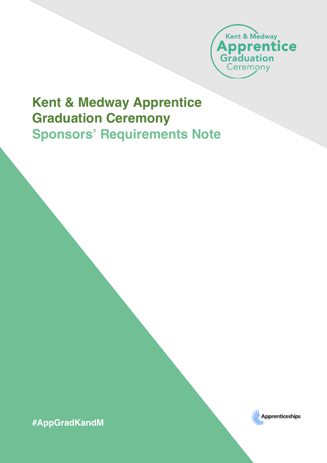

## **Kent & Medway Apprentice Graduation Ceremony Sponsors' Requirements Note**

**#AppGradKandM**